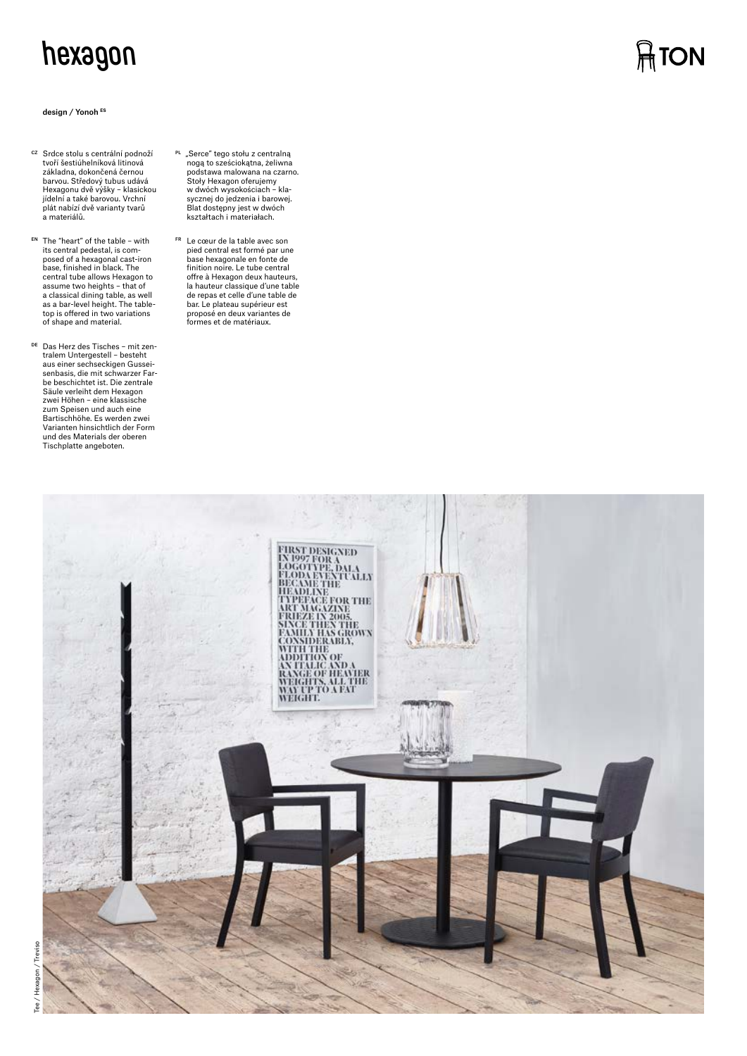# **hexagon**

#### design / Yonoh **ES**

- <sup>cz</sup> Srdce stolu s centrální podnoží<br>tvoří šestiúhelníková litinová základna, dokončená černou barvou. Středový tubus udává Hexagonu dvě výšky – klasickou jídelní a také barovou. Vrchní plát nabízí dvě varianty tvarů a materiálů.
- EN The "heart" of the table with its central pedestal, is composed of a hexagonal cast-iron base, finished in black. The central tube allows Hexagon to assume two heights – that of a classical dining table, as well as a bar-level height. The table-top is offered in two variations of shape and material.
- DE Das Herz des Tisches mit zentralem Untergestell – besteht aus einer sechseckigen Gussei-senbasis, die mit schwarzer Farbe beschichtet ist. Die zentrale Säule verleiht dem Hexagon zwei Höhen – eine klassische zum Speisen und auch eine Bartischhöhe. Es werden zwei Varianten hinsichtlich der Form und des Materials der oberen Tischplatte angeboten.
- <sup>PL</sup> "Serce" tego stołu z centralną<br>nogą to sześciokątna, żeliwna<br>podstawa malowana na czarno. Stoły Hexagon oferujemy w dwóch wysokościach – kla-sycznej do jedzenia i barowej. Blat dostępny jest w dwóch kształtach i materiałach.
- FR Le cœur de la table avec son pied central est formé par une base hexagonale en fonte de finition noire. Le tube central offre à Hexagon deux hauteurs, la hauteur classique d'une table de repas et celle d'une table de bar. Le plateau supérieur est proposé en deux variantes de formes et de matériaux.



**ATON** 

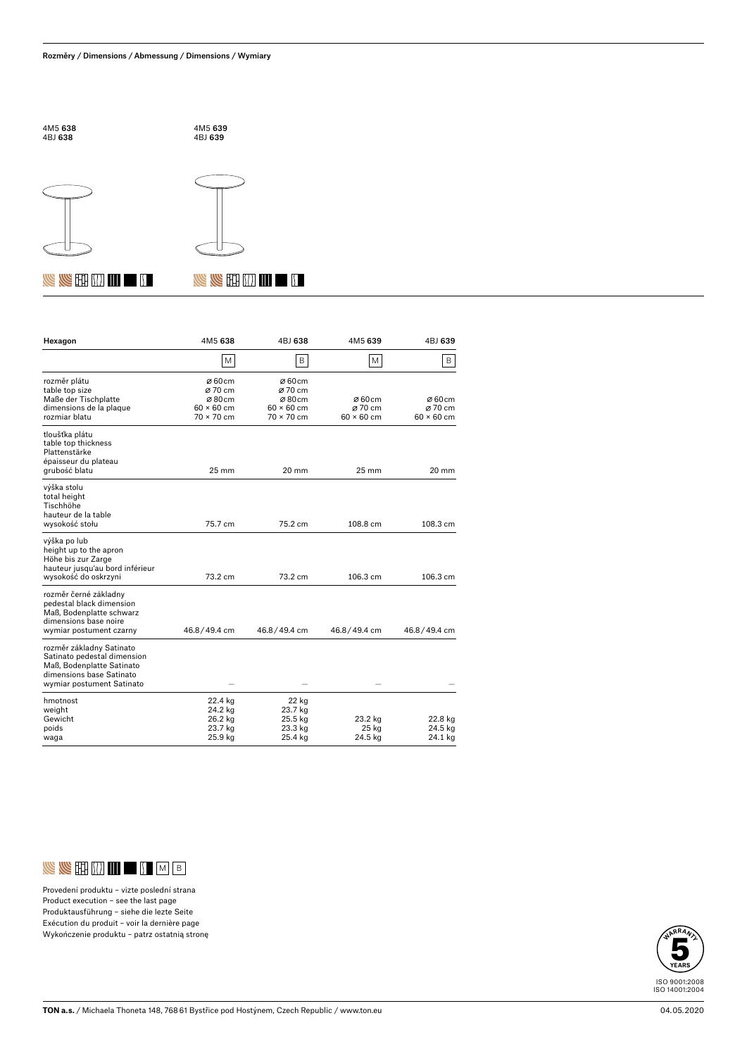





4M5 639 4BJ 639

 $\mathbb{U}$  in  $\mathbb{U}$  if  $\mathbb{Z}$ 

## **IS AS EE ON IN LAT 5**

| Hexagon                                                                                                                                       | 4M5 638                                                                          | 4BJ 638                                                             | 4M5 639                               | 4BJ 639                                             |
|-----------------------------------------------------------------------------------------------------------------------------------------------|----------------------------------------------------------------------------------|---------------------------------------------------------------------|---------------------------------------|-----------------------------------------------------|
|                                                                                                                                               | M                                                                                | B                                                                   | M                                     | B                                                   |
| rozměr plátu<br>table top size<br>Maße der Tischplatte<br>dimensions de la plaque<br>rozmiar blatu                                            | Ø60cm<br>Ø 70 cm<br>$\varnothing$ 80cm<br>$60 \times 60$ cm<br>$70 \times 70$ cm | Ø60cm<br>Ø 70 cm<br>Ø80cm<br>$60 \times 60$ cm<br>$70 \times 70$ cm | Ø60cm<br>Ø 70 cm<br>$60 \times 60$ cm | $\varnothing$ 60 cm<br>Ø 70 cm<br>$60 \times 60$ cm |
| tloušťka plátu<br>table top thickness<br>Plattenstärke<br>épaisseur du plateau<br>grubość blatu                                               | $25 \text{ mm}$                                                                  | 20 mm                                                               | $25 \text{ mm}$                       | 20 mm                                               |
| výška stolu<br>total height<br>Tischhöhe<br>hauteur de la table<br>wysokość stołu                                                             | 75.7 cm                                                                          | 75.2 cm                                                             | 108.8 cm                              | 108.3 cm                                            |
| výška po lub<br>height up to the apron<br>Höhe bis zur Zarge<br>hauteur jusqu'au bord inférieur<br>wysokość do oskrzyni                       | 73.2 cm                                                                          | 73.2 cm                                                             | 106.3 cm                              | 106.3 cm                                            |
| rozměr černé základny<br>pedestal black dimension<br>Maß. Bodenplatte schwarz<br>dimensions base noire<br>wymiar postument czarny             | 46.8/49.4 cm                                                                     | 46.8/49.4 cm                                                        | 46.8/49.4 cm                          | 46.8/49.4 cm                                        |
| rozměr základny Satinato<br>Satinato pedestal dimension<br>Maß, Bodenplatte Satinato<br>dimensions base Satinato<br>wymiar postument Satinato |                                                                                  |                                                                     |                                       |                                                     |
| hmotnost<br>weight<br>Gewicht<br>poids<br>waga                                                                                                | 22.4 kg<br>24.2 kg<br>26.2 kg<br>23.7 kg<br>25.9 kg                              | 22 kg<br>23.7 kg<br>25.5 kg<br>23.3 kg<br>25.4 kg                   | 23.2 kg<br>25 kg<br>24.5 kg           | 22.8 kg<br>24.5 kg<br>24.1 kg                       |



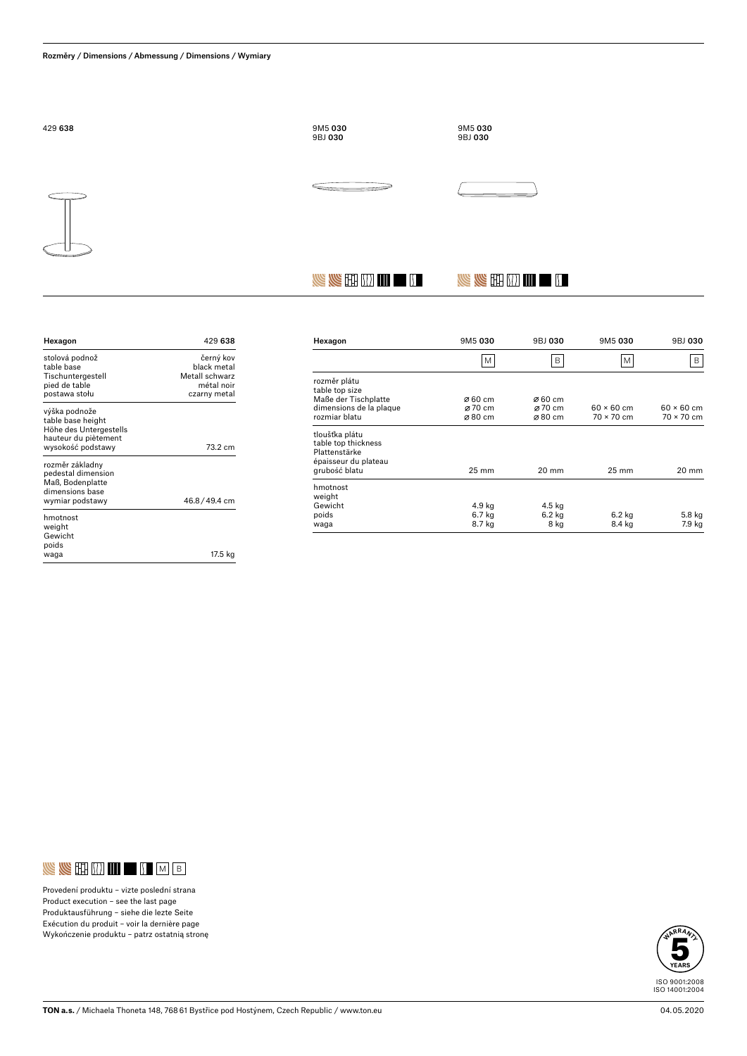

**NE KE EE DE LITTER SA** 

| Hexagon                                                                                                   | 429 638                                                                  |
|-----------------------------------------------------------------------------------------------------------|--------------------------------------------------------------------------|
| stolová podnož<br>table base<br>Tischuntergestell<br>pied de table<br>postawa stołu                       | černý kov<br>black metal<br>Metall schwarz<br>métal noir<br>czarny metal |
| výška podnože<br>table base height<br>Höhe des Untergestells<br>hauteur du piètement<br>wysokość podstawy | 73.2 cm                                                                  |
| rozměr základny<br>pedestal dimension<br>Maß. Bodenplatte<br>dimensions hase<br>wymiar podstawy           | 46.8/49.4 cm                                                             |
| hmotnost<br>weight<br>Gewicht<br>poids<br>waqa                                                            | 17.5 kg                                                                  |

| Hexagon                                                                        | 9M5 030         | 9BJ 030 | 9M5 030           | 9BJ 030           |
|--------------------------------------------------------------------------------|-----------------|---------|-------------------|-------------------|
|                                                                                | M               | B       | M                 | B                 |
| rozměr plátu<br>table top size                                                 |                 |         |                   |                   |
| Maße der Tischplatte                                                           | Ø 60 cm         | Ø 60 cm |                   |                   |
| dimensions de la plaque                                                        | Ø 70 cm         | Ø 70 cm | $60 \times 60$ cm | $60 \times 60$ cm |
| rozmiar blatu                                                                  | Ø80 cm          | Ø80 cm  | $70 \times 70$ cm | 70 × 70 cm        |
| tloušťka plátu<br>table top thickness<br>Plattenstärke<br>épaisseur du plateau |                 |         |                   |                   |
| grubość blatu                                                                  | $25 \text{ mm}$ | 20 mm   | $25 \text{ mm}$   | 20 mm             |
| hmotnost<br>weight                                                             |                 |         |                   |                   |
| Gewicht                                                                        | 4.9 kg          | 4.5 kg  |                   |                   |
| poids                                                                          | 6.7 kg          | 6.2 kg  | $6.2$ kg          | 5.8 kg            |
| waga                                                                           | 8.7 kg          | 8 kg    | 8.4 kg            | 7.9 kg            |
|                                                                                |                 |         |                   |                   |

**NE YE EH IN III EH II** 



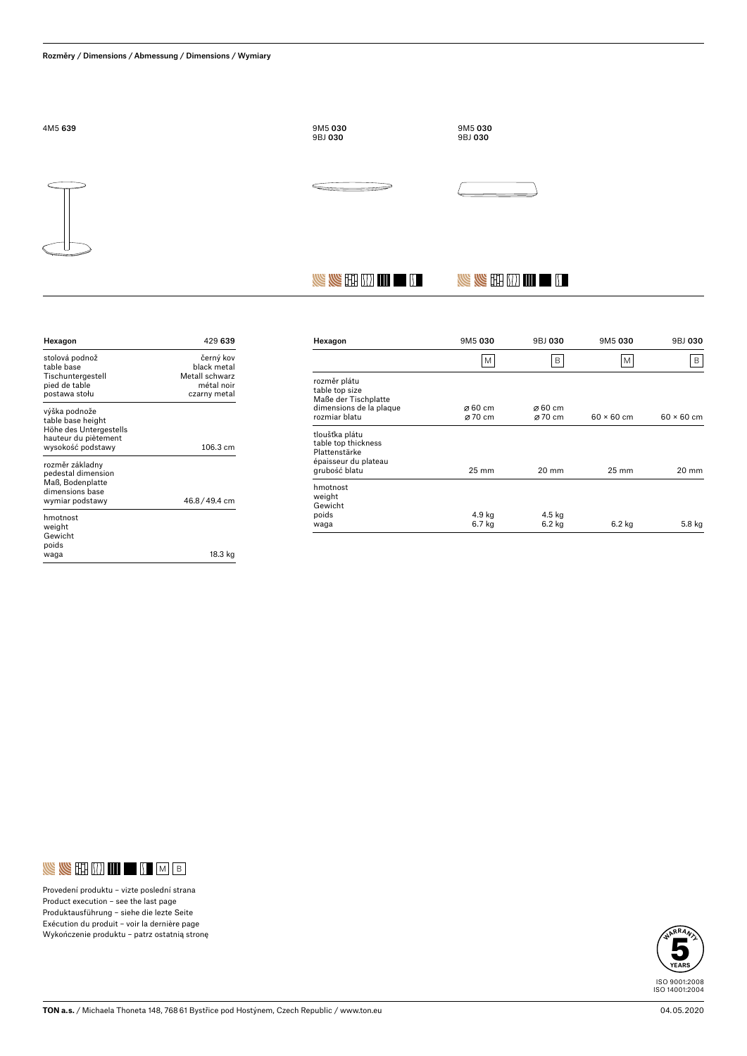

**SERETHERE** 

| Hexagon                                                                                                   | 429 639                                                                  |
|-----------------------------------------------------------------------------------------------------------|--------------------------------------------------------------------------|
| stolová podnož<br>table base<br>Tischuntergestell<br>pied de table<br>postawa stołu                       | černý kov<br>hlack metal<br>Metall schwarz<br>métal noir<br>czarny metal |
| výška podnože<br>table base height<br>Höhe des Untergestells<br>hauteur du piètement<br>wysokość podstawy | 106.3 cm                                                                 |
| rozměr základny<br>pedestal dimension<br>Maß. Bodenplatte<br>dimensions hase<br>wymiar podstawy           | 46.8/49.4 cm                                                             |
| hmotnost<br>weight<br>Gewicht<br>poids<br>waga                                                            | 18.3 kg                                                                  |

| Hexagon                                                                        | 9M5 030             | 9BJ 030             | 9M5 030           | 9BJ 030           |
|--------------------------------------------------------------------------------|---------------------|---------------------|-------------------|-------------------|
|                                                                                | M                   | B                   | M                 | В                 |
| rozměr plátu<br>table top size<br>Maße der Tischplatte                         |                     |                     |                   |                   |
| dimensions de la plaque                                                        | $\varnothing$ 60 cm | $\varnothing$ 60 cm |                   |                   |
| rozmiar blatu                                                                  | Ø 70 cm             | Ø 70 cm             | $60 \times 60$ cm | $60 \times 60$ cm |
| tloušťka plátu<br>table top thickness<br>Plattenstärke<br>épaisseur du plateau |                     |                     |                   |                   |
| grubość blatu                                                                  | $25 \text{ mm}$     | 20 mm               | $25 \text{ mm}$   | 20 mm             |
| hmotnost<br>weight<br>Gewicht                                                  |                     |                     |                   |                   |
| poids                                                                          | 4.9 kg              | 4.5 kg              |                   |                   |
| waga                                                                           | 6.7 kg              | $6.2$ kg            | $6.2$ kg          | 5.8 kg            |

 $\mathbb{U}$  in  $\mathbb{U}$  in  $\mathbb{Z}$ 



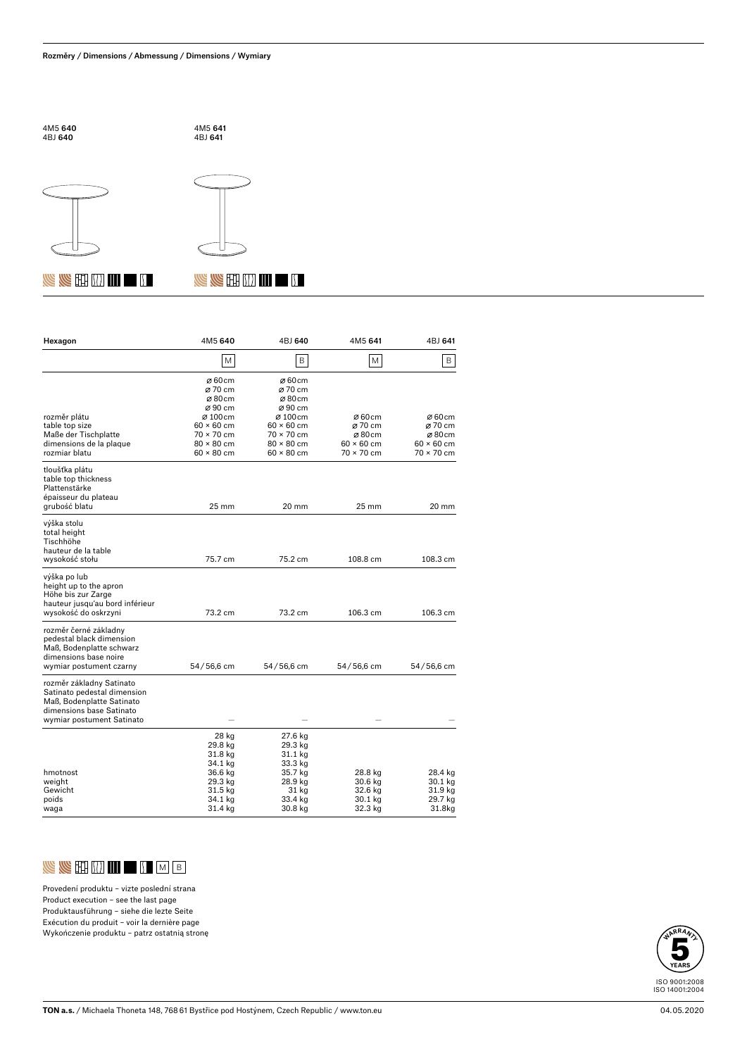





### **NEW REPORT OF SAMPLE REPORT**

| Hexagon                                                                                                                                       | 4M5 640                                                                                       | 4BJ 640                                                                                       | 4M5 641                                                             | 4BJ 641                                                      |
|-----------------------------------------------------------------------------------------------------------------------------------------------|-----------------------------------------------------------------------------------------------|-----------------------------------------------------------------------------------------------|---------------------------------------------------------------------|--------------------------------------------------------------|
|                                                                                                                                               | M                                                                                             | B                                                                                             | M                                                                   | B                                                            |
|                                                                                                                                               | Ø60cm<br>Ø 70 cm<br>Ø80cm<br>Ø90 cm                                                           | Ø60cm<br>Ø 70 cm<br>Ø80cm<br>Ø90 cm                                                           |                                                                     |                                                              |
| rozměr plátu<br>table top size<br>Maße der Tischplatte<br>dimensions de la plaque<br>rozmiar blatu                                            | Ø100cm<br>$60 \times 60$ cm<br>$70 \times 70$ cm<br>$80 \times 80$ cm<br>$60 \times 80$ cm    | Ø100cm<br>$60 \times 60$ cm<br>$70 \times 70$ cm<br>$80 \times 80$ cm<br>$60 \times 80$ cm    | Ø60cm<br>Ø 70 cm<br>Ø80cm<br>$60 \times 60$ cm<br>$70 \times 70$ cm | Ø60cm<br>Ø 70 cm<br>Ø80cm<br>$60 \times 60$ cm<br>70 × 70 cm |
| tloušťka plátu<br>table top thickness<br>Plattenstärke<br>épaisseur du plateau<br>grubość blatu                                               | $25 \text{ mm}$                                                                               | $20 \text{ mm}$                                                                               | $25 \text{ mm}$                                                     | 20 mm                                                        |
| výška stolu<br>total height<br>Tischhöhe<br>hauteur de la table                                                                               |                                                                                               |                                                                                               |                                                                     |                                                              |
| wysokość stołu                                                                                                                                | 75.7 cm                                                                                       | 75.2 cm                                                                                       | 108.8 cm                                                            | $108.3 \text{ cm}$                                           |
| výška po lub<br>height up to the apron<br>Höhe bis zur Zarge<br>hauteur jusqu'au bord inférieur<br>wysokość do oskrzyni                       | 73.2 cm                                                                                       | 73.2 cm                                                                                       | 106.3 cm                                                            | 106.3 cm                                                     |
| rozměr černé základny<br>pedestal black dimension<br>Maß, Bodenplatte schwarz<br>dimensions base noire<br>wymiar postument czarny             | 54/56,6 cm                                                                                    | 54/56,6 cm                                                                                    | 54/56,6 cm                                                          | 54/56,6 cm                                                   |
| rozměr základny Satinato<br>Satinato pedestal dimension<br>Maß. Bodenplatte Satinato<br>dimensions base Satinato<br>wymiar postument Satinato |                                                                                               |                                                                                               |                                                                     |                                                              |
| hmotnost<br>weight<br>Gewicht<br>poids<br>waga                                                                                                | 28 kg<br>29.8 kg<br>31.8 kg<br>34.1 kg<br>36.6 kg<br>29.3 kg<br>31.5 kg<br>34.1 kg<br>31.4 kg | 27.6 kg<br>29.3 kg<br>31.1 kg<br>33.3 kg<br>35.7 kg<br>28.9 kg<br>31 kg<br>33.4 kg<br>30.8 kg | 28.8 kg<br>30.6 kg<br>32.6 kg<br>30.1 kg<br>32.3 kg                 | 28.4 kg<br>30.1 kg<br>31.9 kg<br>29.7 kg<br>31.8kg           |



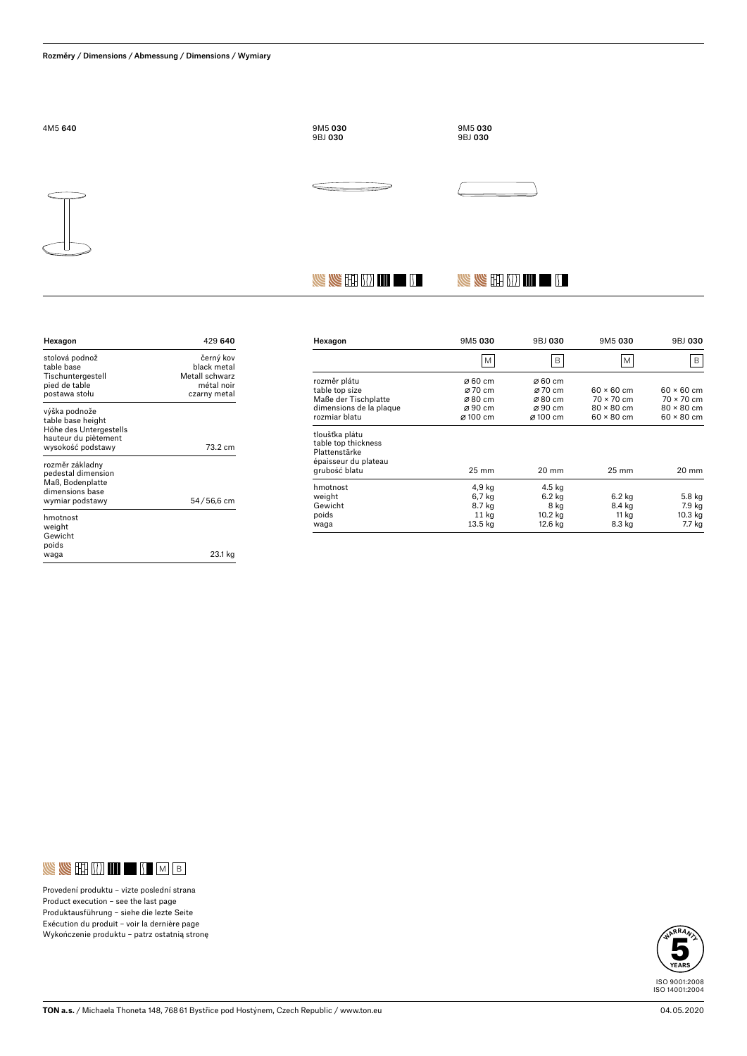

**SERETHERE** 

| Hexagon                                                                                                   | 429 640                                                                  |
|-----------------------------------------------------------------------------------------------------------|--------------------------------------------------------------------------|
| stolová podnož<br>table base<br>Tischuntergestell<br>pied de table<br>postawa stołu                       | černý kov<br>hlack metal<br>Metall schwarz<br>métal noir<br>czarny metal |
| výška podnože<br>table base height<br>Höhe des Untergestells<br>hauteur du piètement<br>wysokość podstawy | 73.2 cm                                                                  |
| rozměr základny<br>pedestal dimension<br>Maß, Bodenplatte<br>dimensions base<br>wymiar podstawy           | 54/56,6 cm                                                               |
| hmotnost<br>weight<br>Gewicht<br>poids<br>waga                                                            | 23.1 kg                                                                  |

| Hexagon                 | 9M5 030             | 9BJ 030 | 9M5 030           | 9BJ 030           |
|-------------------------|---------------------|---------|-------------------|-------------------|
|                         | M                   | B       | M                 | B                 |
| rozměr plátu            | Ø 60 cm             | Ø 60 cm |                   |                   |
| table top size          | Ø 70 cm             | Ø 70 cm | $60 \times 60$ cm | $60 \times 60$ cm |
| Maße der Tischplatte    | $\varnothing$ 80 cm | Ø80 cm  | $70 \times 70$ cm | $70 \times 70$ cm |
| dimensions de la plaque | $\varnothing$ 90 cm | Ø90 cm  | $80 \times 80$ cm | $80 \times 80$ cm |
| rozmiar blatu           | Ø100 cm             | Ø100 cm | $60 \times 80$ cm | $60 \times 80$ cm |
| tloušťka plátu          |                     |         |                   |                   |
| table top thickness     |                     |         |                   |                   |
| Plattenstärke           |                     |         |                   |                   |
| épaisseur du plateau    |                     |         |                   |                   |
| grubość blatu           | $25 \text{ mm}$     | 20 mm   | $25 \text{ mm}$   | 20 mm             |
| hmotnost                | 4,9 kg              | 4.5 kg  |                   |                   |
| weight                  | 6,7 kg              | 6.2 kg  | 6.2 kg            | 5.8 kg            |
| Gewicht                 | 8.7 kg              | 8 kg    | 8.4 kg            | 7.9 kg            |
| poids                   | 11 kg               | 10.2 kg | 11 kg             | 10.3 kg           |
| waga                    | 13.5 kg             | 12.6 kg | 8.3 kg            | 7.7 kg            |

 $\mathbb{U}$  in  $\mathbb{U}$  in  $\mathbb{Z}$ 



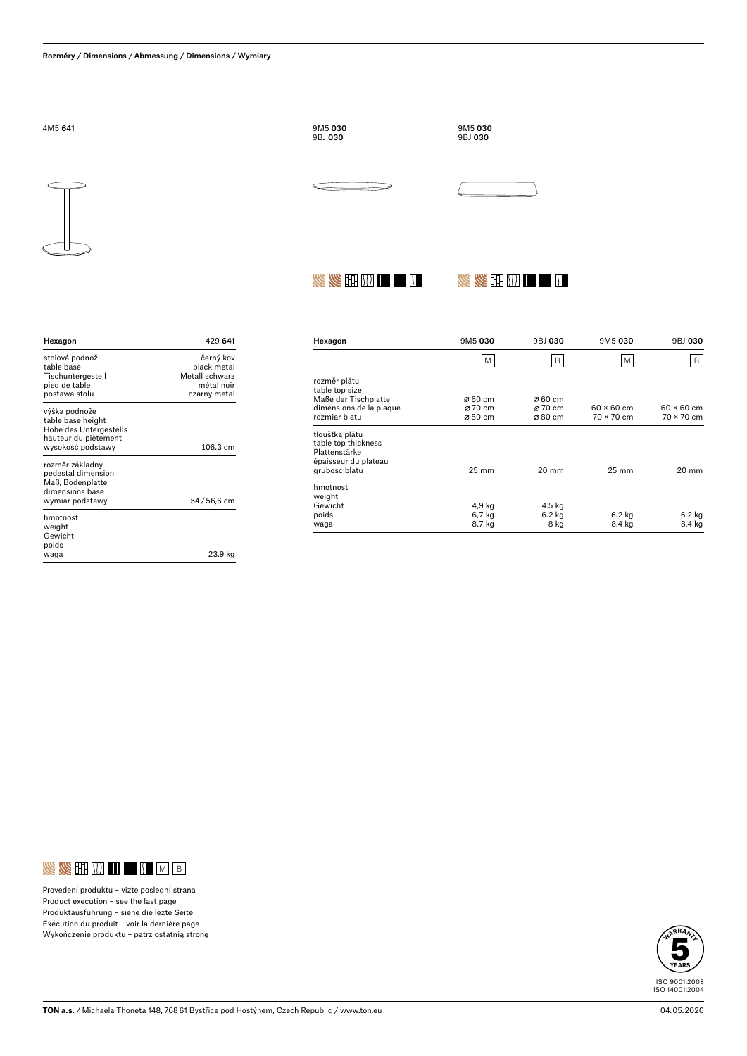

**SERETHERE** 

| Hexagon                                                                                                   | 429 641                                                                  |
|-----------------------------------------------------------------------------------------------------------|--------------------------------------------------------------------------|
| stolová podnož<br>table base<br>Tischuntergestell<br>pied de table<br>postawa stołu                       | černý kov<br>hlack metal<br>Metall schwarz<br>métal noir<br>czarny metal |
| výška podnože<br>table base height<br>Höhe des Untergestells<br>hauteur du piètement<br>wysokość podstawy | $106.3 \text{ cm}$                                                       |
| rozměr základny<br>pedestal dimension<br>Maß, Bodenplatte<br>dimensions hase<br>wymiar podstawy           | 54/56,6 cm                                                               |
| hmotnost<br>weight<br>Gewicht<br>poids<br>waqa                                                            | 23.9 kg                                                                  |

| Hexagon                                                                                         | 9M5 030         | 9BJ 030 | 9M5 030           | 9BJ 030           |
|-------------------------------------------------------------------------------------------------|-----------------|---------|-------------------|-------------------|
|                                                                                                 | M               | B       | M                 | В                 |
| rozměr plátu<br>table top size                                                                  |                 |         |                   |                   |
| Maße der Tischplatte                                                                            | Ø 60 cm         | Ø 60 cm |                   |                   |
| dimensions de la plaque                                                                         | Ø 70 cm         | Ø 70 cm | $60 \times 60$ cm | $60 \times 60$ cm |
| rozmiar blatu                                                                                   | Ø80 cm          | Ø80 cm  | $70 \times 70$ cm | $70 \times 70$ cm |
| tloušťka plátu<br>table top thickness<br>Plattenstärke<br>épaisseur du plateau<br>grubość blatu | $25 \text{ mm}$ | 20 mm   | $25 \text{ mm}$   | 20 mm             |
| hmotnost<br>weight                                                                              |                 |         |                   |                   |
| Gewicht                                                                                         | 4,9 kg          | 4.5 kg  |                   |                   |
| poids                                                                                           | 6,7 kg          | 6.2 kg  | 6.2 kg            | $6.2$ kg          |
| waga                                                                                            | 8.7 kg          | 8 kg    | 8.4 kg            | 8.4 kg            |
|                                                                                                 |                 |         |                   |                   |

 $\mathbb{U}$  in  $\mathbb{U}$  in  $\mathbb{Z}$